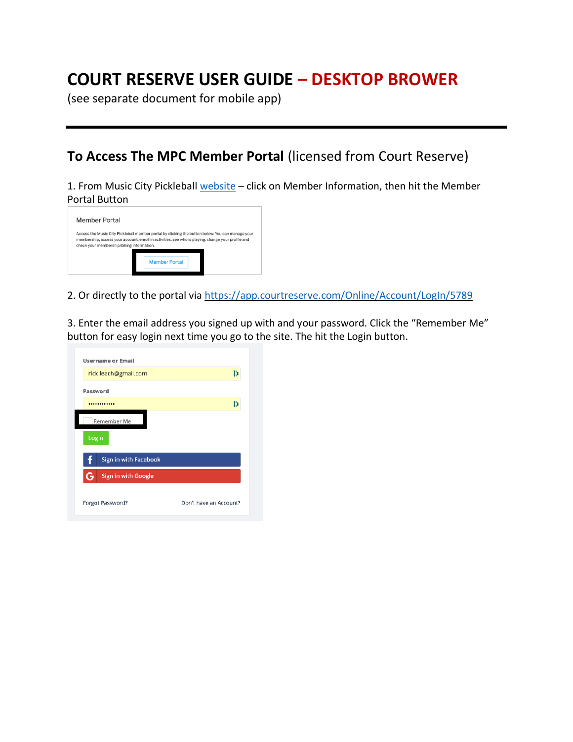# **COURT RESERVE USER GUIDE – DESKTOP BROWER**

(see separate document for mobile app)

### **To Access The MPC Member Portal** (licensed from Court Reserve)

1. From Music City Pickleball [website](http://www.musiccitypickleball.com/) - click on Member Information, then hit the Member Portal Button

| <b>Member Portal</b>                       |                                                                                                                                                                                                        |
|--------------------------------------------|--------------------------------------------------------------------------------------------------------------------------------------------------------------------------------------------------------|
| check your membership/billing information. | Access the Music City Pickleball member portal by clicking the button below. You can manage your<br>membership, access your account, enroll in activities, see who is playing, change your profile and |
|                                            | <b>Member Portal</b>                                                                                                                                                                                   |

2. Or directly to the portal via<https://app.courtreserve.com/Online/Account/LogIn/5789>

3. Enter the email address you signed up with and your password. Click the "Remember Me" button for easy login next time you go to the site. The hit the Login button.

| Username or Email        |                        |
|--------------------------|------------------------|
| rick.leach@gmail.com     | B                      |
| Password                 |                        |
|                          | h                      |
| Remember Me              |                        |
| Login                    |                        |
| Sign in with Facebook    |                        |
| Sign in with Google<br>G |                        |
| Forgot Password?         | Don't have an Account? |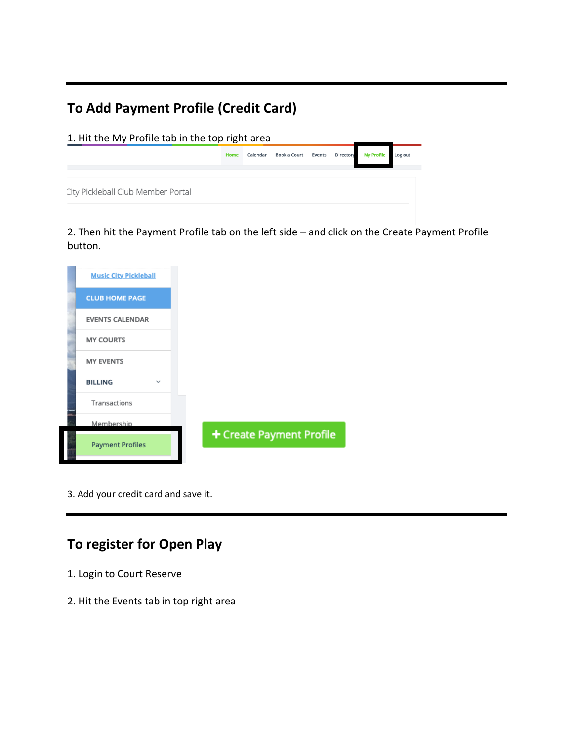## **To Add Payment Profile (Credit Card)**

1. Hit the My Profile tab in the top right area Home Calendar Book a Court Events Director **My Profile** Log out City Pickleball Club Member Portal

2. Then hit the Payment Profile tab on the left side – and click on the Create Payment Profile button.

| <b>Music City Pickleball</b>   |                          |
|--------------------------------|--------------------------|
| <b>CLUB HOME PAGE</b>          |                          |
| <b>EVENTS CALENDAR</b>         |                          |
| <b>MY COURTS</b>               |                          |
| <b>MY EVENTS</b>               |                          |
| <b>BILLING</b><br>$\checkmark$ |                          |
| Transactions                   |                          |
| Membership                     |                          |
| <b>Payment Profiles</b>        | + Create Payment Profile |
|                                |                          |

3. Add your credit card and save it.

## **To register for Open Play**

- 1. Login to Court Reserve
- 2. Hit the Events tab in top right area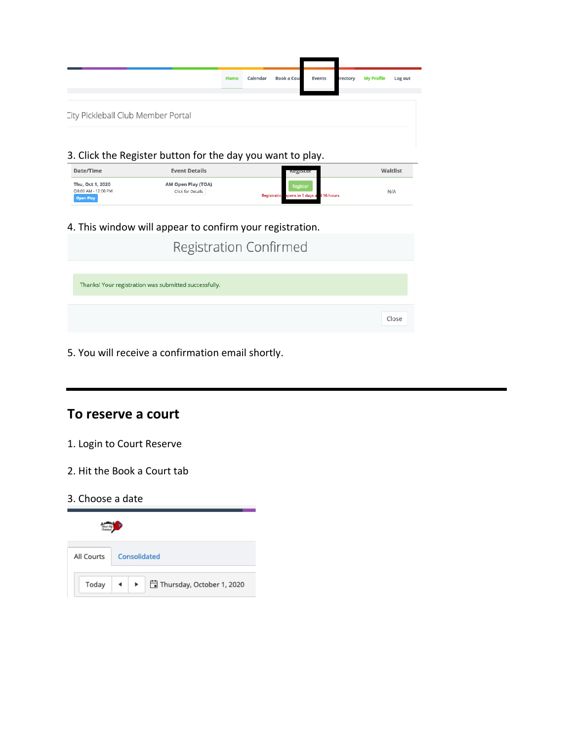|                                                            | Home | Calendar | <b>Book a Cou</b> | Events | rectory | <b>My Profile</b> | Log out |
|------------------------------------------------------------|------|----------|-------------------|--------|---------|-------------------|---------|
| City Pickleball Club Member Portal                         |      |          |                   |        |         |                   |         |
| 3. Click the Register button for the day you want to play. |      |          |                   |        |         |                   |         |

| Date/Time                                                   | <b>Event Details</b>                           | <b>Register</b>                                          | Waitlist |
|-------------------------------------------------------------|------------------------------------------------|----------------------------------------------------------|----------|
| Thu, Oct 1, 2020<br>◎8:00 AM - 12:00 PM<br><b>Open Play</b> | AM Open Play (TOA)<br><b>Click for Details</b> | Register<br>ppens in 5 days and 16 hours<br>Registration | N/A      |

#### 4. This window will appear to confirm your registration.

| <b>Registration Confirmed</b>                         |       |
|-------------------------------------------------------|-------|
| Thanks! Your registration was submitted successfully. |       |
|                                                       | Close |

#### 5. You will receive a confirmation email shortly.

## **To reserve a court**

#### 1. Login to Court Reserve

- 2. Hit the Book a Court tab
- 3. Choose a date

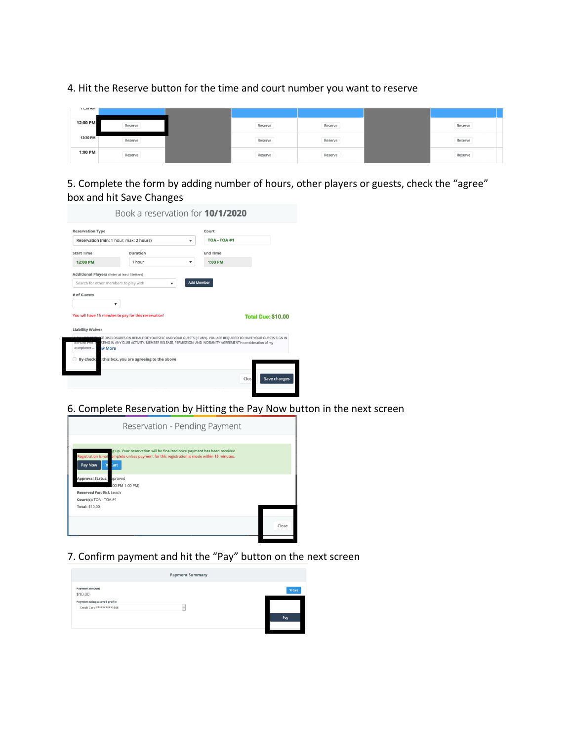4. Hit the Reserve button for the time and court number you want to reserve

| <b>LIGHT</b> |         |         |         |         |
|--------------|---------|---------|---------|---------|
| 12:00 PM     | Reserve | Reserve | Reserve | Reserve |
| 12:30 PM     | Reserve | Reserve | Reserve | Reserve |
| 1:00 PM      | Reserve | Reserve | Reserve | Reserve |

5. Complete the form by adding number of hours, other players or guests, check the "agree" box and hit Save Changes

|                                                      | Reservation (min: 1 hour, max: 2 hours)                                                                                                                                                                                                          | ۰ | <b>TOA - TOA #1</b> |                           |
|------------------------------------------------------|--------------------------------------------------------------------------------------------------------------------------------------------------------------------------------------------------------------------------------------------------|---|---------------------|---------------------------|
| <b>Start Time</b>                                    | Duration                                                                                                                                                                                                                                         |   | <b>End Time</b>     |                           |
| 12:00 PM                                             | 1 hour                                                                                                                                                                                                                                           | ۰ | 1:00 PM             |                           |
| <b>Additional Players (Enter at least 3 letters)</b> |                                                                                                                                                                                                                                                  |   |                     |                           |
| Search for other members to play with                |                                                                                                                                                                                                                                                  |   | <b>Add Member</b>   |                           |
| <b>Liability Waiver</b>                              | You will have 15 minutes to pay for this reservation!                                                                                                                                                                                            |   |                     | <b>Total Due: \$10.00</b> |
| acceptance  \ ww More                                | VOU ACCEPT THESE DISCLOSURES ON BEHALF OF YOURSELF AND YOUR GUESTS (IF ANY). YOU ARE REQUIRED TO HAVE YOUR GUESTS SIGN IN<br>BEFORE PARTIC ATING IN ANY CLUB ACTIVITY, MEMBER RELEASE, PERMISSION, AND INDEMNITY AGREEMENTIn consideration of my |   |                     |                           |

6. Complete Reservation by Hitting the Pay Now button in the next screen



7. Confirm payment and hit the "Pay" button on the next screen

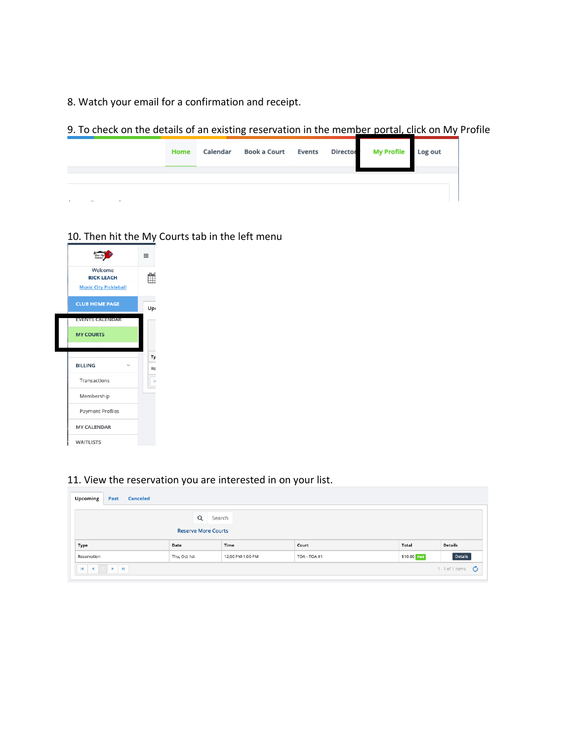8. Watch your email for a confirmation and receipt.

9. To check on the details of an existing reservation in the member portal, click on My Profile

| Home | Calendar | Book a Court Events Director My Profile Log out |  |  |
|------|----------|-------------------------------------------------|--|--|
|      |          |                                                 |  |  |
|      |          |                                                 |  |  |
|      |          |                                                 |  |  |
|      |          |                                                 |  |  |
|      |          |                                                 |  |  |

### 10. Then hit the My Courts tab in the left menu

|                              | $=$ |
|------------------------------|-----|
| Welcome<br><b>RICK LEACH</b> |     |
| <b>Music City Pickleball</b> |     |
| <b>CLUB HOME PAGE</b>        | Up  |
| <b>EVENTS CALENDAR</b>       |     |
| <b>MY COURTS</b>             |     |
|                              |     |
|                              | Ty  |
| <b>BILLING</b>               | Re  |
| Transactions                 | н   |
| Membership                   |     |
| Payment Profiles             |     |
| <b>MY CALENDAR</b>           |     |

#### 11. View the reservation you are interested in on your list.

| <b>Upcoming</b>                        | Past        | <b>Canceled</b> |                            |                  |              |              |                       |
|----------------------------------------|-------------|-----------------|----------------------------|------------------|--------------|--------------|-----------------------|
|                                        |             |                 | Q<br>Search                |                  |              |              |                       |
|                                        |             |                 | <b>Reserve More Courts</b> |                  |              |              |                       |
| Type                                   |             |                 | Date                       | Time             | Court        | Total        | <b>Details</b>        |
| Reservation                            |             |                 | Thu, Oct 1st               | 12:00 PM-1:00 PM | TOA - TOA #1 | \$10.00 Pald | Details               |
| $\blacksquare$<br>$\blacktriangleleft$ | <b>ELEM</b> |                 |                            |                  |              |              | 1 - 1 of 1 items<br>O |